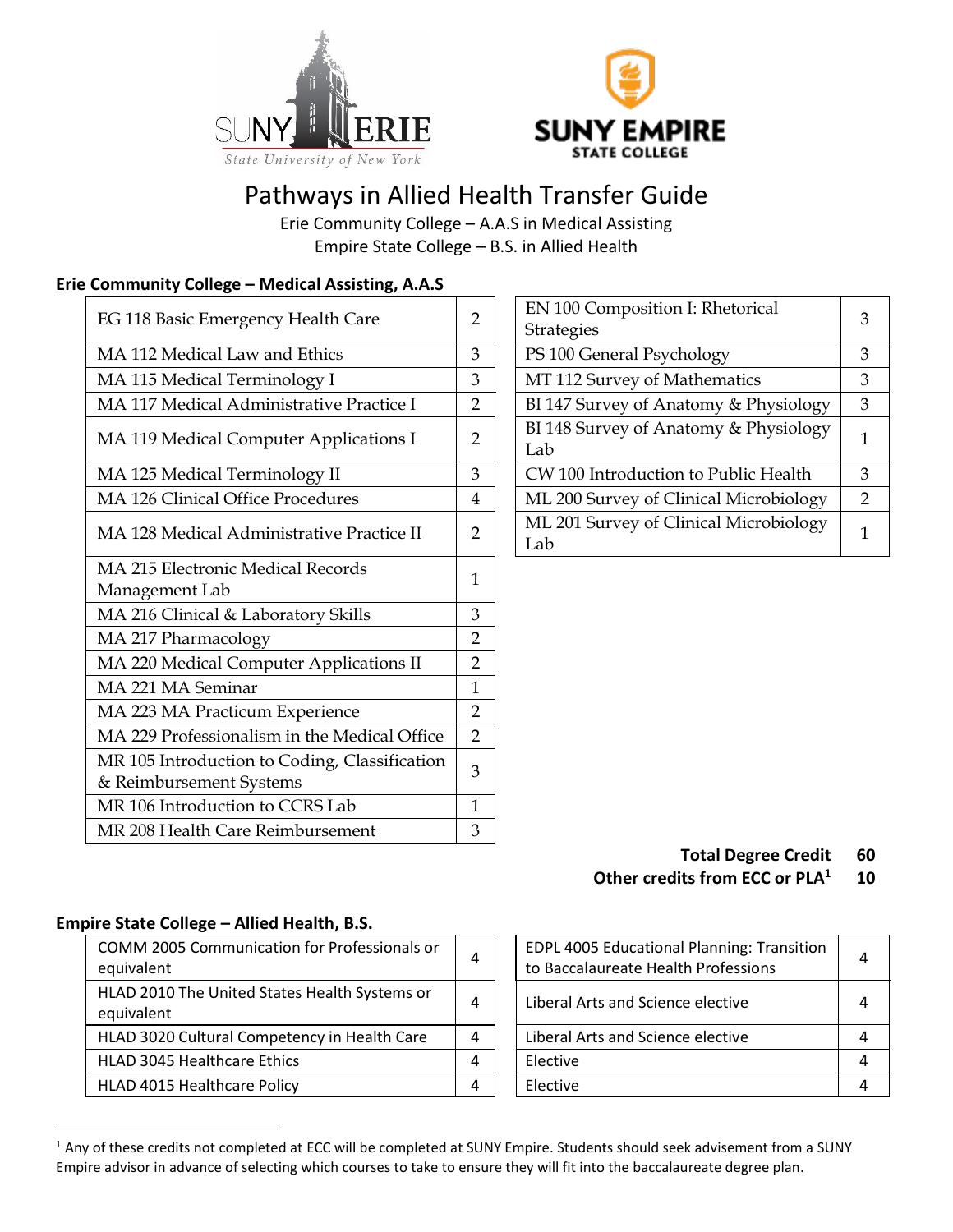



# Pathways in Allied Health Transfer Guide

Erie Community College – A.A.S in Medical Assisting Empire State College – B.S. in Allied Health

#### **Erie Community College – Medical Assisting, A.A.S**

| EG 118 Basic Emergency Health Care                                       | $\overline{2}$ | EN 100 Composition I: Rhetorical<br>Strategies | 3              |
|--------------------------------------------------------------------------|----------------|------------------------------------------------|----------------|
| MA 112 Medical Law and Ethics                                            | 3              | PS 100 General Psychology                      | 3              |
| MA 115 Medical Terminology I                                             | 3              | MT 112 Survey of Mathematics                   | 3              |
| MA 117 Medical Administrative Practice I                                 | 2              | BI 147 Survey of Anatomy & Physiology          | 3              |
| MA 119 Medical Computer Applications I                                   | $\overline{2}$ | BI 148 Survey of Anatomy & Physiology<br>Lab   | $\mathbf{1}$   |
| MA 125 Medical Terminology II                                            | 3              | CW 100 Introduction to Public Health           | 3              |
| MA 126 Clinical Office Procedures                                        | 4              | ML 200 Survey of Clinical Microbiology         | $\overline{2}$ |
| MA 128 Medical Administrative Practice II                                | $\overline{2}$ | ML 201 Survey of Clinical Microbiology<br>Lab  | $\mathbf{1}$   |
| MA 215 Electronic Medical Records<br>Management Lab                      | 1              |                                                |                |
| MA 216 Clinical & Laboratory Skills                                      | 3              |                                                |                |
| MA 217 Pharmacology                                                      | 2              |                                                |                |
| MA 220 Medical Computer Applications II                                  | 2              |                                                |                |
| MA 221 MA Seminar                                                        | 1              |                                                |                |
| MA 223 MA Practicum Experience                                           | $\overline{2}$ |                                                |                |
| MA 229 Professionalism in the Medical Office                             | $\overline{2}$ |                                                |                |
| MR 105 Introduction to Coding, Classification<br>& Reimbursement Systems | 3              |                                                |                |
| MR 106 Introduction to CCRS Lab                                          | $\mathbf{1}$   |                                                |                |
| MR 208 Health Care Reimbursement                                         | 3              |                                                |                |

| EN 100 Composition I: Rhetorical<br>Strategies |   |
|------------------------------------------------|---|
| PS 100 General Psychology                      |   |
| MT 112 Survey of Mathematics                   |   |
| BI 147 Survey of Anatomy & Physiology          | 3 |
| BI 148 Survey of Anatomy & Physiology<br>Lab   |   |
| CW 100 Introduction to Public Health           | 3 |
| ML 200 Survey of Clinical Microbiology         |   |
| ML 201 Survey of Clinical Microbiology<br>Lab  | 1 |

#### **Total Degree Credit 60 Other credits from ECC or PLA<sup>1</sup> 10**

#### **Empire State College – Allied Health, B.S.**

| COMM 2005 Communication for Professionals or<br>equivalent  | 4 | EDPL 4005 Educational Planning: Transition<br>to Baccalaureate Health Professions | 4         |
|-------------------------------------------------------------|---|-----------------------------------------------------------------------------------|-----------|
| HLAD 2010 The United States Health Systems or<br>equivalent | 4 | Liberal Arts and Science elective                                                 | $\Lambda$ |
| HLAD 3020 Cultural Competency in Health Care                | 4 | Liberal Arts and Science elective                                                 | 4         |
| HLAD 3045 Healthcare Ethics                                 | 4 | Elective                                                                          | 4         |
| HLAD 4015 Healthcare Policy                                 | 4 | Elective                                                                          |           |

| EDPL 4005 Educational Planning: Transition<br>to Baccalaureate Health Professions |  |
|-----------------------------------------------------------------------------------|--|
| Liberal Arts and Science elective                                                 |  |
| Liberal Arts and Science elective                                                 |  |
| Elective                                                                          |  |
| Elective                                                                          |  |

<sup>&</sup>lt;sup>1</sup> Any of these credits not completed at ECC will be completed at SUNY Empire. Students should seek advisement from a SUNY Empire advisor in advance of selecting which courses to take to ensure they will fit into the baccalaureate degree plan.